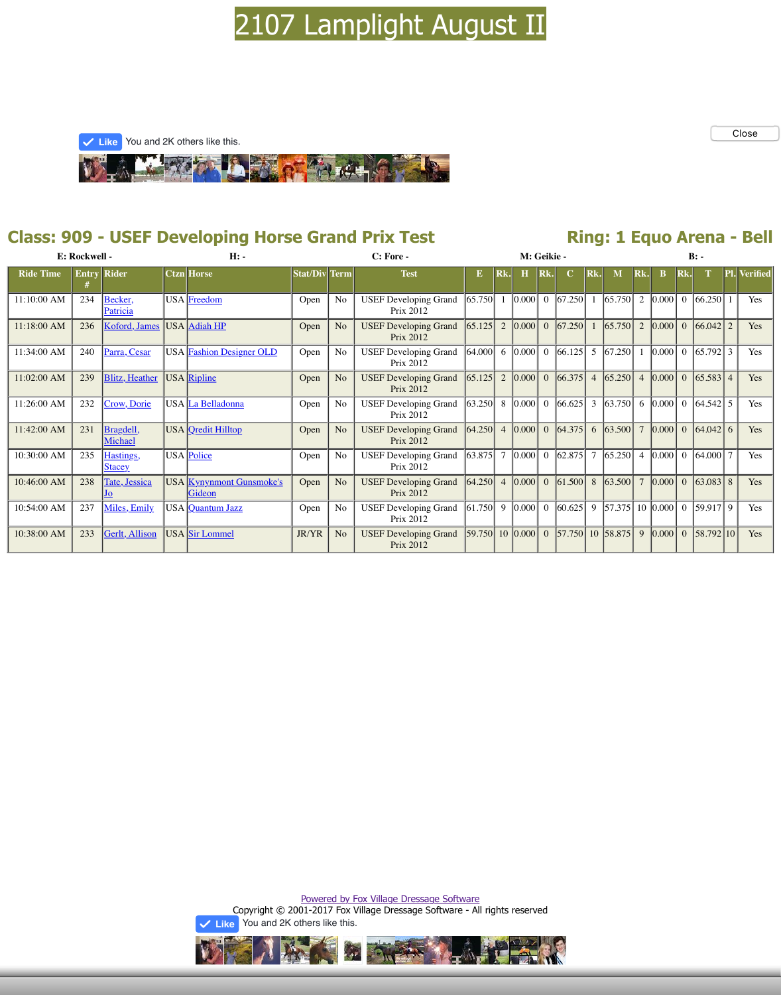|             |     | Patricia                   |                                           |       |                | Prix 2012                                 |        |                |      |
|-------------|-----|----------------------------|-------------------------------------------|-------|----------------|-------------------------------------------|--------|----------------|------|
| 11:18:00 AM | 236 | Koford, James              | USA Adiah HP                              | Open  | N <sub>o</sub> | <b>USEF Developing Grand</b><br>Prix 2012 | 65.125 | $\overline{2}$ | 0.00 |
| 11:34:00 AM | 240 | Parra, Cesar               | <b>USA</b> Fashion Designer OLD           | Open  | No             | <b>USEF Developing Grand</b><br>Prix 2012 | 64.000 | 6              | 0.00 |
| 11:02:00 AM | 239 | <b>Blitz</b> , Heather     | USA Ripline                               | Open  | N <sub>o</sub> | <b>USEF Developing Grand</b><br>Prix 2012 | 65.125 | $\overline{2}$ | 0.00 |
| 11:26:00 AM | 232 | Crow, Dorie                | USA La Belladonna                         | Open  | No             | <b>USEF Developing Grand</b><br>Prix 2012 | 63.250 | 8              | 0.00 |
| 11:42:00 AM | 231 | Bragdell,<br>Michael       | USA <i>Qredit Hilltop</i>                 | Open  | N <sub>o</sub> | <b>USEF Developing Grand</b><br>Prix 2012 | 64.250 | $\overline{4}$ | 0.00 |
| 10:30:00 AM | 235 | Hastings,<br><b>Stacey</b> | USA Police                                | Open  | No             | <b>USEF Developing Grand</b><br>Prix 2012 | 63.875 | $\overline{7}$ | 0.00 |
| 10:46:00 AM | 238 | Tate, Jessica<br>JO        | <b>USA</b> Kynynmont Gunsmoke's<br>Gideon | Open  | N <sub>o</sub> | <b>USEF Developing Grand</b><br>Prix 2012 | 64.250 | $\overline{4}$ | 0.00 |
| 10:54:00 AM | 237 | Miles, Emily               | USA Quantum Jazz                          | Open  | N <sub>o</sub> | <b>USEF Developing Grand</b><br>Prix 2012 | 61.750 | 9              | 0.00 |
| 10:38:00 AM | 233 | Gerlt, Allison             | USA Sir Lommel                            | JR/YR | N <sub>o</sub> | <b>USEF Developing Grand</b><br>Prix 2012 | 59.750 | 10             | 0.00 |